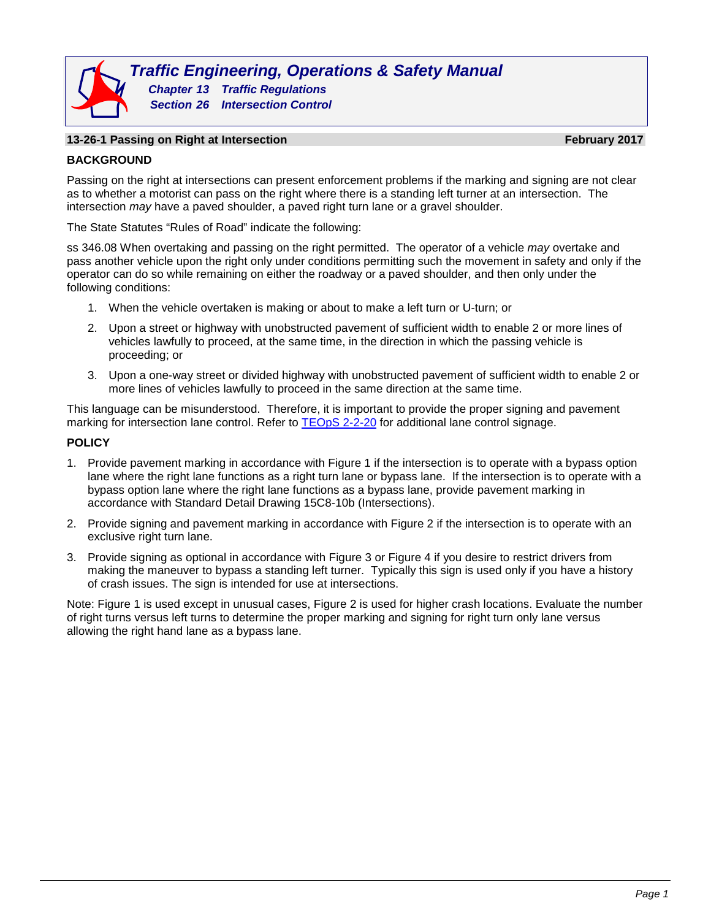# **13-26-1 Passing on Right at Intersection February 2017**

#### **BACKGROUND**

Passing on the right at intersections can present enforcement problems if the marking and signing are not clear as to whether a motorist can pass on the right where there is a standing left turner at an intersection. The intersection *may* have a paved shoulder, a paved right turn lane or a gravel shoulder.

The State Statutes "Rules of Road" indicate the following:

ss 346.08 When overtaking and passing on the right permitted. The operator of a vehicle *may* overtake and pass another vehicle upon the right only under conditions permitting such the movement in safety and only if the operator can do so while remaining on either the roadway or a paved shoulder, and then only under the following conditions:

- 1. When the vehicle overtaken is making or about to make a left turn or U-turn; or
- 2. Upon a street or highway with unobstructed pavement of sufficient width to enable 2 or more lines of vehicles lawfully to proceed, at the same time, in the direction in which the passing vehicle is proceeding; or
- 3. Upon a one-way street or divided highway with unobstructed pavement of sufficient width to enable 2 or more lines of vehicles lawfully to proceed in the same direction at the same time.

This language can be misunderstood. Therefore, it is important to provide the proper signing and pavement marking for intersection lane control. Refer to [TEOpS 2-2-20](http://wisconsindot.gov/dtsdManuals/traffic-ops/manuals-and-standards/teops/02-02.pdf) for additional lane control signage.

#### **POLICY**

- 1. Provide pavement marking in accordance with Figure 1 if the intersection is to operate with a bypass option lane where the right lane functions as a right turn lane or bypass lane. If the intersection is to operate with a bypass option lane where the right lane functions as a bypass lane, provide pavement marking in accordance with Standard Detail Drawing 15C8-10b (Intersections).
- 2. Provide signing and pavement marking in accordance with Figure 2 if the intersection is to operate with an exclusive right turn lane.
- 3. Provide signing as optional in accordance with Figure 3 or Figure 4 if you desire to restrict drivers from making the maneuver to bypass a standing left turner. Typically this sign is used only if you have a history of crash issues. The sign is intended for use at intersections.

Note: Figure 1 is used except in unusual cases, Figure 2 is used for higher crash locations. Evaluate the number of right turns versus left turns to determine the proper marking and signing for right turn only lane versus allowing the right hand lane as a bypass lane.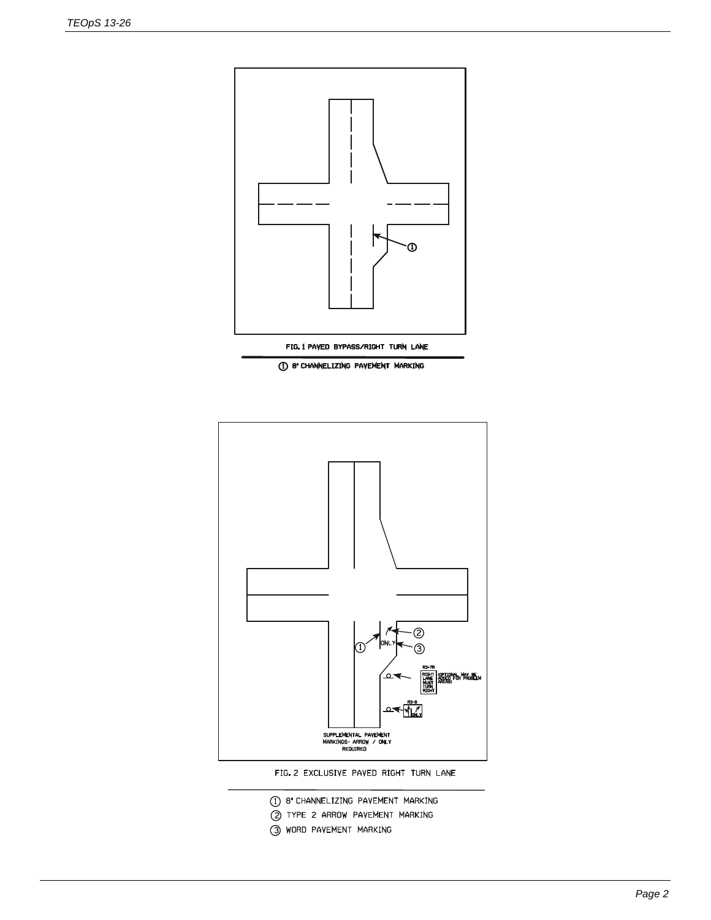

1 8" CHANNELIZING PAVEMENT MARKING



FIG. 2 EXCLUSIVE PAVED RIGHT TURN LANE

- 1 8' CHANNELIZING PAVEMENT MARKING
- 2 TYPE 2 ARROW PAVEMENT MARKING
- 3 WORD PAVEMENT MARKING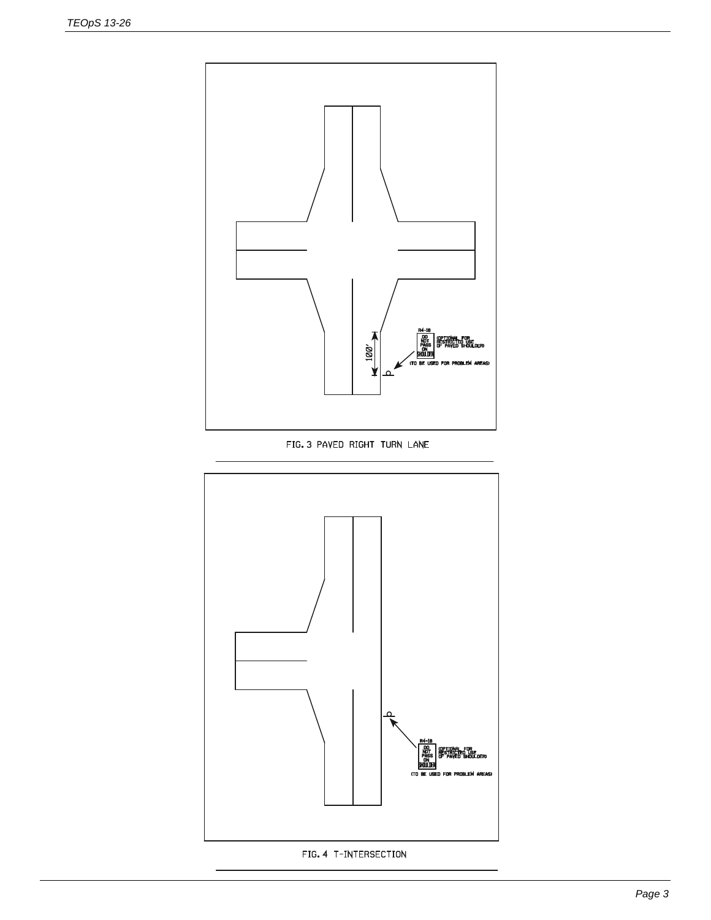

FIG. 3 PAVED RIGHT TURN LANE

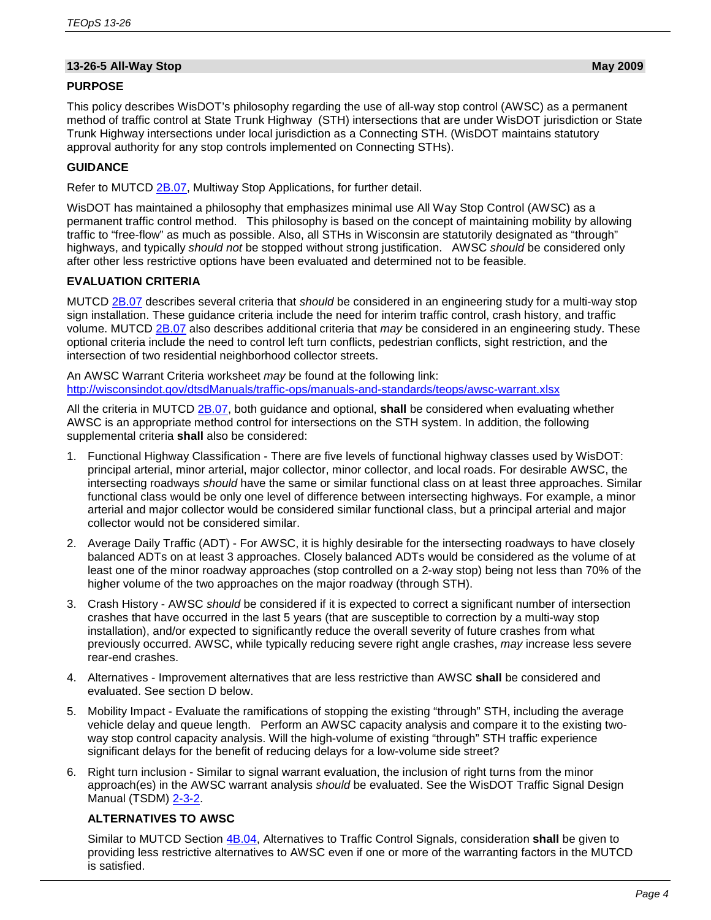# **13-26-5 All-Way Stop May 2009**

## **PURPOSE**

This policy describes WisDOT's philosophy regarding the use of all-way stop control (AWSC) as a permanent method of traffic control at State Trunk Highway (STH) intersections that are under WisDOT jurisdiction or State Trunk Highway intersections under local jurisdiction as a Connecting STH. (WisDOT maintains statutory approval authority for any stop controls implemented on Connecting STHs).

## **GUIDANCE**

Refer to MUTCD [2B.07,](http://wisconsindot.gov/dtsdManuals/traffic-ops/manuals-and-standards/mutcd-ch02b.pdf) Multiway Stop Applications, for further detail.

WisDOT has maintained a philosophy that emphasizes minimal use All Way Stop Control (AWSC) as a permanent traffic control method. This philosophy is based on the concept of maintaining mobility by allowing traffic to "free-flow" as much as possible. Also, all STHs in Wisconsin are statutorily designated as "through" highways, and typically *should not* be stopped without strong justification. AWSC *should* be considered only after other less restrictive options have been evaluated and determined not to be feasible.

## **EVALUATION CRITERIA**

MUTCD [2B.07](http://wisconsindot.gov/dtsdManuals/traffic-ops/manuals-and-standards/mutcd-ch02b.pdf) describes several criteria that *should* be considered in an engineering study for a multi-way stop sign installation. These guidance criteria include the need for interim traffic control, crash history, and traffic volume. MUTCD [2B.07](http://wisconsindot.gov/dtsdManuals/traffic-ops/manuals-and-standards/mutcd-ch02b.pdf) also describes additional criteria that *may* be considered in an engineering study. These optional criteria include the need to control left turn conflicts, pedestrian conflicts, sight restriction, and the intersection of two residential neighborhood collector streets.

An AWSC Warrant Criteria worksheet *may* be found at the following link: <http://wisconsindot.gov/dtsdManuals/traffic-ops/manuals-and-standards/teops/awsc-warrant.xlsx>

All the criteria in MUTCD [2B.07,](http://wisconsindot.gov/dtsdManuals/traffic-ops/manuals-and-standards/mutcd-ch02b.pdf) both guidance and optional, **shall** be considered when evaluating whether AWSC is an appropriate method control for intersections on the STH system. In addition, the following supplemental criteria **shall** also be considered:

- 1. Functional Highway Classification There are five levels of functional highway classes used by WisDOT: principal arterial, minor arterial, major collector, minor collector, and local roads. For desirable AWSC, the intersecting roadways *should* have the same or similar functional class on at least three approaches. Similar functional class would be only one level of difference between intersecting highways. For example, a minor arterial and major collector would be considered similar functional class, but a principal arterial and major collector would not be considered similar.
- 2. Average Daily Traffic (ADT) For AWSC, it is highly desirable for the intersecting roadways to have closely balanced ADTs on at least 3 approaches. Closely balanced ADTs would be considered as the volume of at least one of the minor roadway approaches (stop controlled on a 2-way stop) being not less than 70% of the higher volume of the two approaches on the major roadway (through STH).
- 3. Crash History AWSC *should* be considered if it is expected to correct a significant number of intersection crashes that have occurred in the last 5 years (that are susceptible to correction by a multi-way stop installation), and/or expected to significantly reduce the overall severity of future crashes from what previously occurred. AWSC, while typically reducing severe right angle crashes, *may* increase less severe rear-end crashes.
- 4. Alternatives Improvement alternatives that are less restrictive than AWSC **shall** be considered and evaluated. See section D below.
- 5. Mobility Impact Evaluate the ramifications of stopping the existing "through" STH, including the average vehicle delay and queue length. Perform an AWSC capacity analysis and compare it to the existing twoway stop control capacity analysis. Will the high-volume of existing "through" STH traffic experience significant delays for the benefit of reducing delays for a low-volume side street?
- 6. Right turn inclusion Similar to signal warrant evaluation, the inclusion of right turns from the minor approach(es) in the AWSC warrant analysis *should* be evaluated. See the WisDOT Traffic Signal Design Manual (TSDM) [2-3-2.](http://wisconsindot.gov/dtsdManuals/traffic-ops/manuals-and-standards/tsdm/02/02-03-02.pdf)

# **ALTERNATIVES TO AWSC**

Similar to MUTCD Section [4B.04,](http://wisconsindot.gov/dtsdManuals/traffic-ops/manuals-and-standards/mutcd-ch04.pdf) Alternatives to Traffic Control Signals, consideration **shall** be given to providing less restrictive alternatives to AWSC even if one or more of the warranting factors in the MUTCD is satisfied.